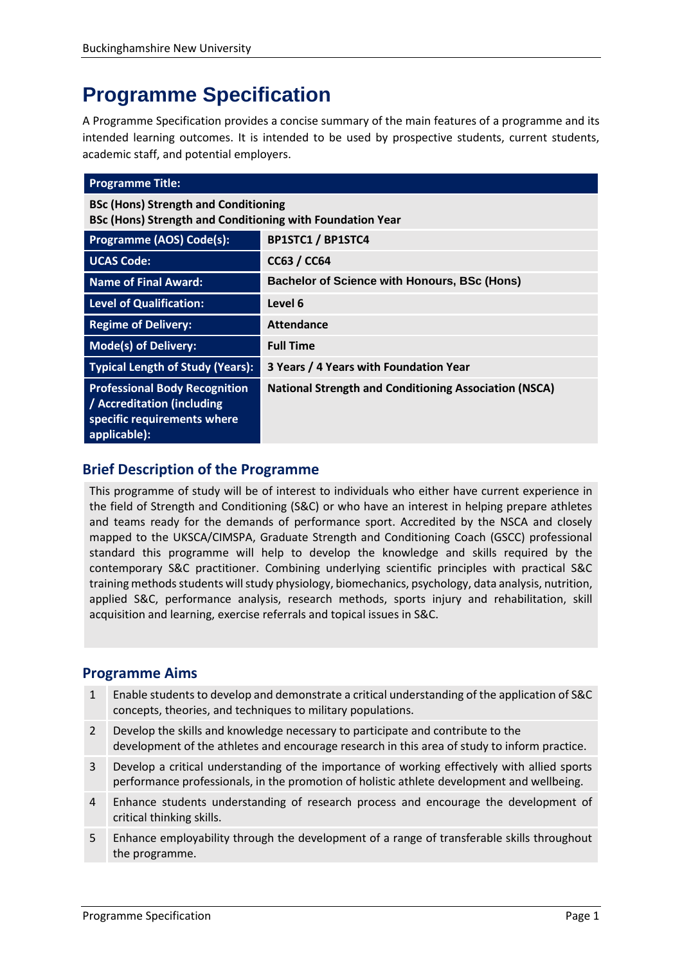# **Programme Specification**

A Programme Specification provides a concise summary of the main features of a programme and its intended learning outcomes. It is intended to be used by prospective students, current students, academic staff, and potential employers.

| <b>Programme Title:</b>                                                                                           |                                                              |  |
|-------------------------------------------------------------------------------------------------------------------|--------------------------------------------------------------|--|
| <b>BSc (Hons) Strength and Conditioning</b><br>BSc (Hons) Strength and Conditioning with Foundation Year          |                                                              |  |
| <b>Programme (AOS) Code(s):</b>                                                                                   | <b>BP1STC1 / BP1STC4</b>                                     |  |
| <b>UCAS Code:</b>                                                                                                 | <b>CC63 / CC64</b>                                           |  |
| Name of Final Award:                                                                                              | <b>Bachelor of Science with Honours, BSc (Hons)</b>          |  |
| Level of Qualification:                                                                                           | Level 6                                                      |  |
| <b>Regime of Delivery:</b>                                                                                        | Attendance                                                   |  |
| Mode(s) of Delivery:                                                                                              | <b>Full Time</b>                                             |  |
| <b>Typical Length of Study (Years):</b>                                                                           | 3 Years / 4 Years with Foundation Year                       |  |
| <b>Professional Body Recognition</b><br>/ Accreditation (including<br>specific requirements where<br>applicable): | <b>National Strength and Conditioning Association (NSCA)</b> |  |

# **Brief Description of the Programme**

This programme of study will be of interest to individuals who either have current experience in the field of Strength and Conditioning (S&C) or who have an interest in helping prepare athletes and teams ready for the demands of performance sport. Accredited by the NSCA and closely mapped to the UKSCA/CIMSPA, Graduate Strength and Conditioning Coach (GSCC) professional standard this programme will help to develop the knowledge and skills required by the contemporary S&C practitioner. Combining underlying scientific principles with practical S&C training methods students will study physiology, biomechanics, psychology, data analysis, nutrition, applied S&C, performance analysis, research methods, sports injury and rehabilitation, skill acquisition and learning, exercise referrals and topical issues in S&C.

# **Programme Aims**

- 1 Enable students to develop and demonstrate a critical understanding of the application of S&C concepts, theories, and techniques to military populations.
- 2 Develop the skills and knowledge necessary to participate and contribute to the development of the athletes and encourage research in this area of study to inform practice.
- 3 Develop a critical understanding of the importance of working effectively with allied sports performance professionals, in the promotion of holistic athlete development and wellbeing.
- 4 Enhance students understanding of research process and encourage the development of critical thinking skills.
- 5 Enhance employability through the development of a range of transferable skills throughout the programme.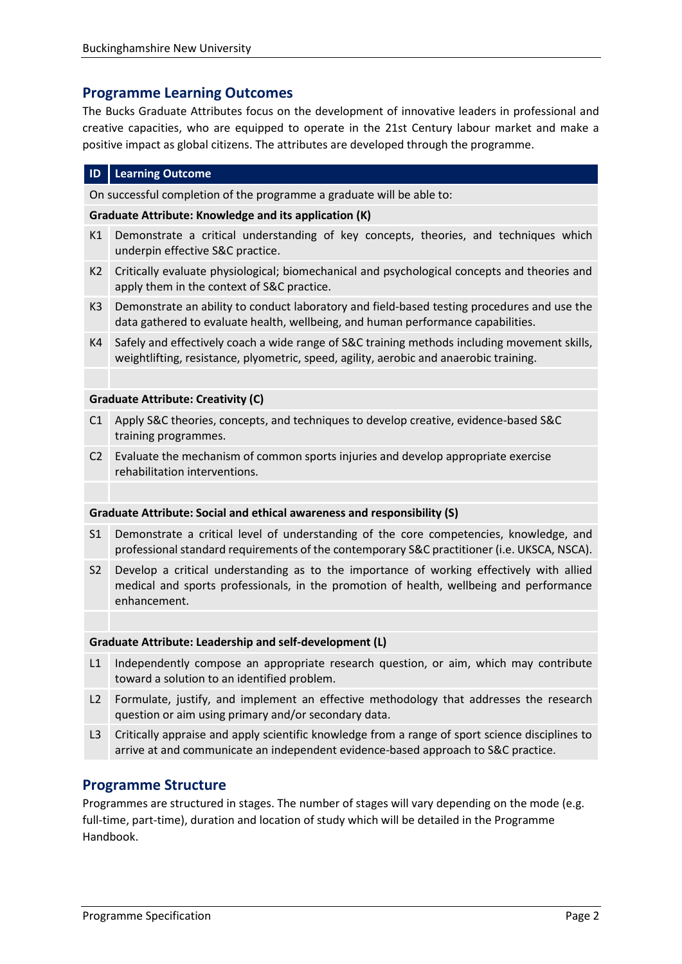# **Programme Learning Outcomes**

The Bucks Graduate Attributes focus on the development of innovative leaders in professional and creative capacities, who are equipped to operate in the 21st Century labour market and make a positive impact as global citizens. The attributes are developed through the programme.

#### **ID Learning Outcome**

On successful completion of the programme a graduate will be able to:

#### **Graduate Attribute: Knowledge and its application (K)**

- K1 Demonstrate a critical understanding of key concepts, theories, and techniques which underpin effective S&C practice.
- K2 Critically evaluate physiological; biomechanical and psychological concepts and theories and apply them in the context of S&C practice.
- K3 Demonstrate an ability to conduct laboratory and field-based testing procedures and use the data gathered to evaluate health, wellbeing, and human performance capabilities.
- K4 Safely and effectively coach a wide range of S&C training methods including movement skills, weightlifting, resistance, plyometric, speed, agility, aerobic and anaerobic training.

#### **Graduate Attribute: Creativity (C)**

- C1 Apply S&C theories, concepts, and techniques to develop creative, evidence-based S&C training programmes.
- C2 Evaluate the mechanism of common sports injuries and develop appropriate exercise rehabilitation interventions.

#### **Graduate Attribute: Social and ethical awareness and responsibility (S)**

- S1 Demonstrate a critical level of understanding of the core competencies, knowledge, and professional standard requirements of the contemporary S&C practitioner (i.e. UKSCA, NSCA).
- S2 Develop a critical understanding as to the importance of working effectively with allied medical and sports professionals, in the promotion of health, wellbeing and performance enhancement.

#### **Graduate Attribute: Leadership and self-development (L)**

- L1 Independently compose an appropriate research question, or aim, which may contribute toward a solution to an identified problem.
- L2 Formulate, justify, and implement an effective methodology that addresses the research question or aim using primary and/or secondary data.
- L3 Critically appraise and apply scientific knowledge from a range of sport science disciplines to arrive at and communicate an independent evidence-based approach to S&C practice.

### **Programme Structure**

Programmes are structured in stages. The number of stages will vary depending on the mode (e.g. full-time, part-time), duration and location of study which will be detailed in the Programme Handbook.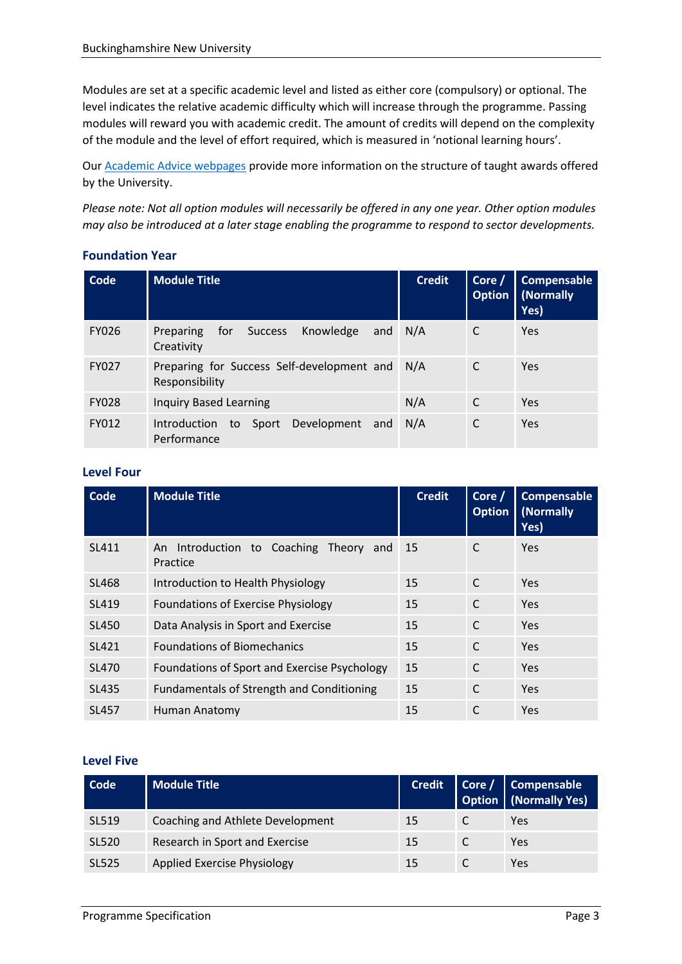Modules are set at a specific academic level and listed as either core (compulsory) or optional. The level indicates the relative academic difficulty which will increase through the programme. Passing modules will reward you with academic credit. The amount of credits will depend on the complexity of the module and the level of effort required, which is measured in 'notional learning hours'.

Our **Academic Advice webpages** provide more information on the structure of taught awards offered by the University.

*Please note: Not all option modules will necessarily be offered in any one year. Other option modules may also be introduced at a later stage enabling the programme to respond to sector developments.*

| Code         | <b>Module Title</b>                                                     | <b>Credit</b> | Core /<br><b>Option</b> | <b>Compensable</b><br>  (Normally<br>Yes) |
|--------------|-------------------------------------------------------------------------|---------------|-------------------------|-------------------------------------------|
| <b>FY026</b> | Knowledge<br><b>Success</b><br>for<br>Preparing<br>and<br>Creativity    | N/A           |                         | Yes                                       |
| <b>FY027</b> | Preparing for Success Self-development and<br>Responsibility            | N/A           | C                       | Yes                                       |
| <b>FY028</b> | <b>Inquiry Based Learning</b>                                           | N/A           | C                       | Yes                                       |
| FY012        | Development<br><b>Introduction</b><br>and<br>Sport<br>to<br>Performance | N/A           | C                       | Yes                                       |

### **Foundation Year**

### **Level Four**

| Code         | <b>Module Title</b>                                             | <b>Credit</b> | Core /<br><b>Option</b> | <b>Compensable</b><br>(Normally<br>Yes) |
|--------------|-----------------------------------------------------------------|---------------|-------------------------|-----------------------------------------|
| SL411        | Introduction to<br>Coaching<br>Theory<br>An.<br>and<br>Practice | 15            | C                       | <b>Yes</b>                              |
| <b>SL468</b> | Introduction to Health Physiology                               | 15            | $\mathsf{C}$            | <b>Yes</b>                              |
| SL419        | <b>Foundations of Exercise Physiology</b>                       | 15            | C                       | <b>Yes</b>                              |
| SL450        | Data Analysis in Sport and Exercise                             | 15            | $\mathsf{C}$            | Yes                                     |
| SL421        | <b>Foundations of Biomechanics</b>                              | 15            | C                       | <b>Yes</b>                              |
| <b>SL470</b> | Foundations of Sport and Exercise Psychology                    | 15            | C                       | Yes                                     |
| SL435        | <b>Fundamentals of Strength and Conditioning</b>                | 15            | C                       | Yes                                     |
| SL457        | Human Anatomy                                                   | 15            | C                       | Yes                                     |

#### **Level Five**

| Code         | <b>Module Title</b>                | <b>Credit</b> | Core / Compensable<br>Option (Normally Yes) |
|--------------|------------------------------------|---------------|---------------------------------------------|
| SL519        | Coaching and Athlete Development   | 15            | Yes                                         |
| SL520        | Research in Sport and Exercise     | 15            | Yes                                         |
| <b>SL525</b> | <b>Applied Exercise Physiology</b> | 15            | Yes                                         |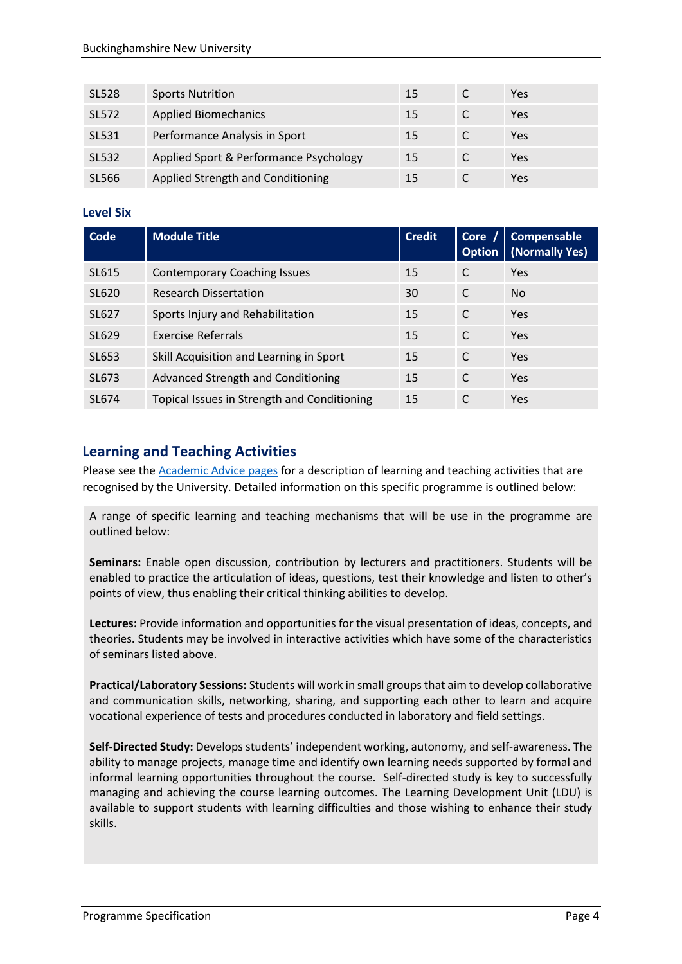| <b>SL528</b> | <b>Sports Nutrition</b>                | 15 | Yes |
|--------------|----------------------------------------|----|-----|
| <b>SL572</b> | <b>Applied Biomechanics</b>            | 15 | Yes |
| SL531        | Performance Analysis in Sport          | 15 | Yes |
| SL532        | Applied Sport & Performance Psychology | 15 | Yes |
| SL566        | Applied Strength and Conditioning      | 15 | Yes |

### **Level Six**

| <b>Code</b> | <b>Module Title</b>                         | <b>Credit</b> | Cor <sub>e</sub><br><b>Option</b> | <b>Compensable</b><br>(Normally Yes) |
|-------------|---------------------------------------------|---------------|-----------------------------------|--------------------------------------|
| SL615       | <b>Contemporary Coaching Issues</b>         | 15            | C                                 | Yes                                  |
| SL620       | <b>Research Dissertation</b>                | 30            | C                                 | <b>No</b>                            |
| SL627       | Sports Injury and Rehabilitation            | 15            | C                                 | Yes                                  |
| SL629       | <b>Exercise Referrals</b>                   | 15            | C                                 | Yes                                  |
| SL653       | Skill Acquisition and Learning in Sport     | 15            | C                                 | Yes                                  |
| SL673       | <b>Advanced Strength and Conditioning</b>   | 15            | C                                 | Yes                                  |
| SL674       | Topical Issues in Strength and Conditioning | 15            | C                                 | Yes                                  |

# **Learning and Teaching Activities**

Please see the **Academic Advice pages** for a description of learning and teaching activities that are recognised by the University. Detailed information on this specific programme is outlined below:

A range of specific learning and teaching mechanisms that will be use in the programme are outlined below:

**Seminars:** Enable open discussion, contribution by lecturers and practitioners. Students will be enabled to practice the articulation of ideas, questions, test their knowledge and listen to other's points of view, thus enabling their critical thinking abilities to develop.

**Lectures:** Provide information and opportunities for the visual presentation of ideas, concepts, and theories. Students may be involved in interactive activities which have some of the characteristics of seminars listed above.

**Practical/Laboratory Sessions:** Students will work in small groups that aim to develop collaborative and communication skills, networking, sharing, and supporting each other to learn and acquire vocational experience of tests and procedures conducted in laboratory and field settings.

**Self-Directed Study:** Develops students' independent working, autonomy, and self-awareness. The ability to manage projects, manage time and identify own learning needs supported by formal and informal learning opportunities throughout the course. Self-directed study is key to successfully managing and achieving the course learning outcomes. The Learning Development Unit (LDU) is available to support students with learning difficulties and those wishing to enhance their study skills.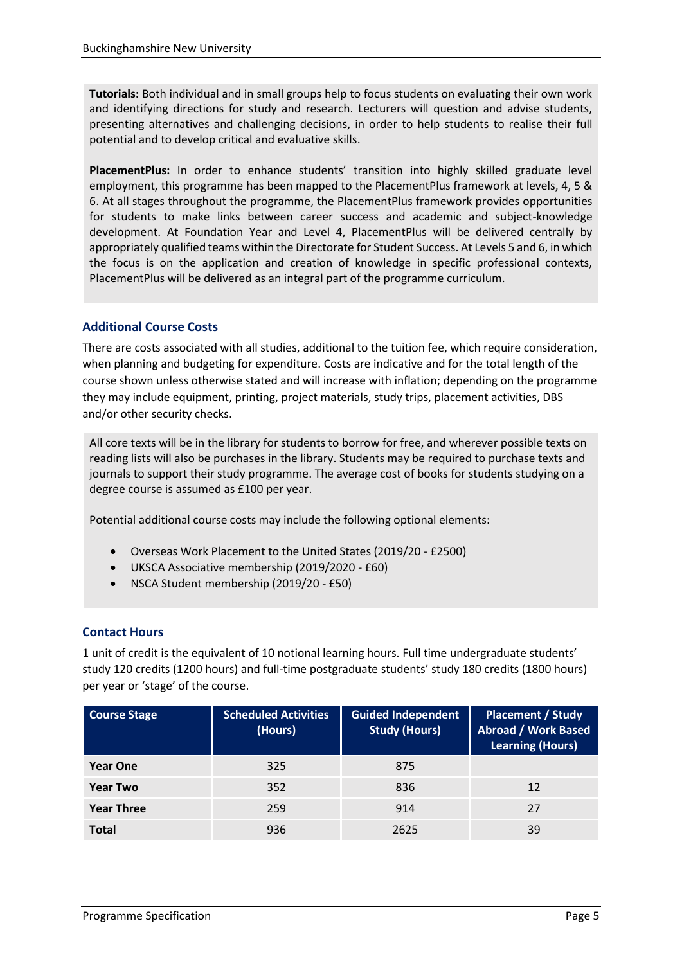**Tutorials:** Both individual and in small groups help to focus students on evaluating their own work and identifying directions for study and research. Lecturers will question and advise students, presenting alternatives and challenging decisions, in order to help students to realise their full potential and to develop critical and evaluative skills.

**PlacementPlus:** In order to enhance students' transition into highly skilled graduate level employment, this programme has been mapped to the PlacementPlus framework at levels, 4, 5 & 6. At all stages throughout the programme, the PlacementPlus framework provides opportunities for students to make links between career success and academic and subject-knowledge development. At Foundation Year and Level 4, PlacementPlus will be delivered centrally by appropriately qualified teams within the Directorate for Student Success. At Levels 5 and 6, in which the focus is on the application and creation of knowledge in specific professional contexts, PlacementPlus will be delivered as an integral part of the programme curriculum.

### **Additional Course Costs**

There are costs associated with all studies, additional to the tuition fee, which require consideration, when planning and budgeting for expenditure. Costs are indicative and for the total length of the course shown unless otherwise stated and will increase with inflation; depending on the programme they may include equipment, printing, project materials, study trips, placement activities, DBS and/or other security checks.

All core texts will be in the library for students to borrow for free, and wherever possible texts on reading lists will also be purchases in the library. Students may be required to purchase texts and journals to support their study programme. The average cost of books for students studying on a degree course is assumed as £100 per year.

Potential additional course costs may include the following optional elements:

- Overseas Work Placement to the United States (2019/20 £2500)
- UKSCA Associative membership (2019/2020 £60)
- NSCA Student membership (2019/20 £50)

### **Contact Hours**

1 unit of credit is the equivalent of 10 notional learning hours. Full time undergraduate students' study 120 credits (1200 hours) and full-time postgraduate students' study 180 credits (1800 hours) per year or 'stage' of the course.

| <b>Course Stage</b> | <b>Scheduled Activities</b><br>(Hours) | <b>Guided Independent</b><br><b>Study (Hours)</b> | <b>Placement / Study</b><br><b>Abroad / Work Based</b><br><b>Learning (Hours)</b> |
|---------------------|----------------------------------------|---------------------------------------------------|-----------------------------------------------------------------------------------|
| <b>Year One</b>     | 325                                    | 875                                               |                                                                                   |
| Year Two            | 352                                    | 836                                               | 12                                                                                |
| <b>Year Three</b>   | 259                                    | 914                                               | 27                                                                                |
| <b>Total</b>        | 936                                    | 2625                                              | 39                                                                                |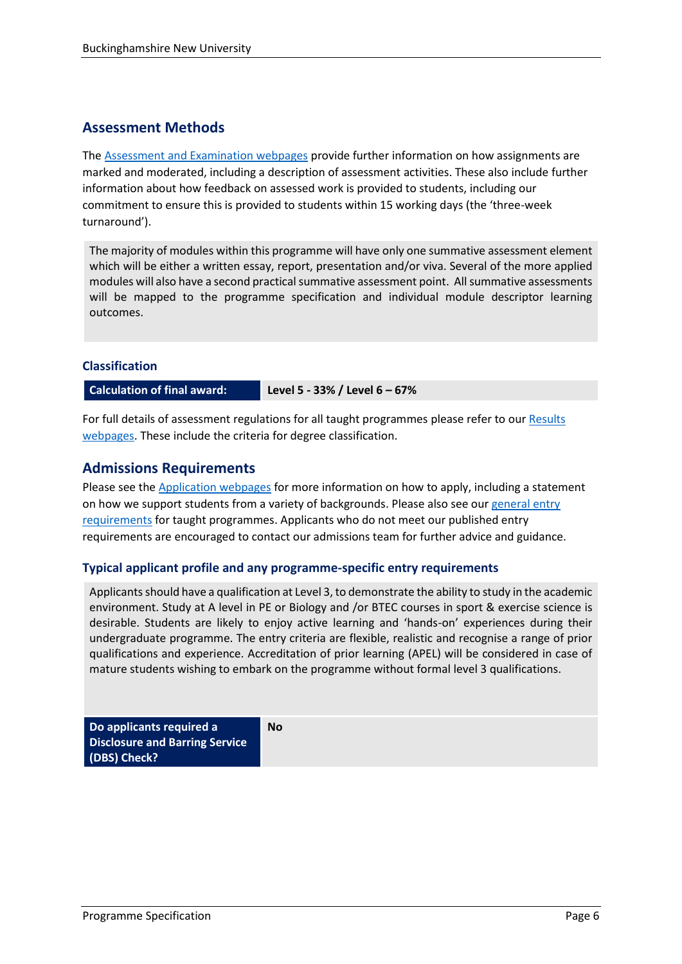# **Assessment Methods**

The [Assessment and Examination webpages](https://bucks.ac.uk/students/academicadvice/assessment-and-examination) provide further information on how assignments are marked and moderated, including a description of assessment activities. These also include further information about how feedback on assessed work is provided to students, including our commitment to ensure this is provided to students within 15 working days (the 'three-week turnaround').

The majority of modules within this programme will have only one summative assessment element which will be either a written essay, report, presentation and/or viva. Several of the more applied modules will also have a second practical summative assessment point. All summative assessments will be mapped to the programme specification and individual module descriptor learning outcomes.

### **Classification**

**Calculation of final award: Level 5 - 33% / Level 6 – 67%**

For full details of assessment regulations for all taught programmes please refer to our [Results](https://bucks.ac.uk/students/academicadvice/results)  [webpages.](https://bucks.ac.uk/students/academicadvice/results) These include the criteria for degree classification.

# **Admissions Requirements**

Please see the [Application webpages](https://bucks.ac.uk/applying-to-bucks) for more information on how to apply, including a statement on how we support students from a variety of backgrounds. Please also see our general entry [requirements](https://bucks.ac.uk/applying-to-bucks/general-entry-requirements) for taught programmes. Applicants who do not meet our published entry requirements are encouraged to contact our admissions team for further advice and guidance.

### **Typical applicant profile and any programme-specific entry requirements**

**No**

Applicants should have a qualification at Level 3, to demonstrate the ability to study in the academic environment. Study at A level in PE or Biology and /or BTEC courses in sport & exercise science is desirable. Students are likely to enjoy active learning and 'hands-on' experiences during their undergraduate programme. The entry criteria are flexible, realistic and recognise a range of prior qualifications and experience. Accreditation of prior learning (APEL) will be considered in case of mature students wishing to embark on the programme without formal level 3 qualifications.

**Do applicants required a Disclosure and Barring Service (DBS) Check?**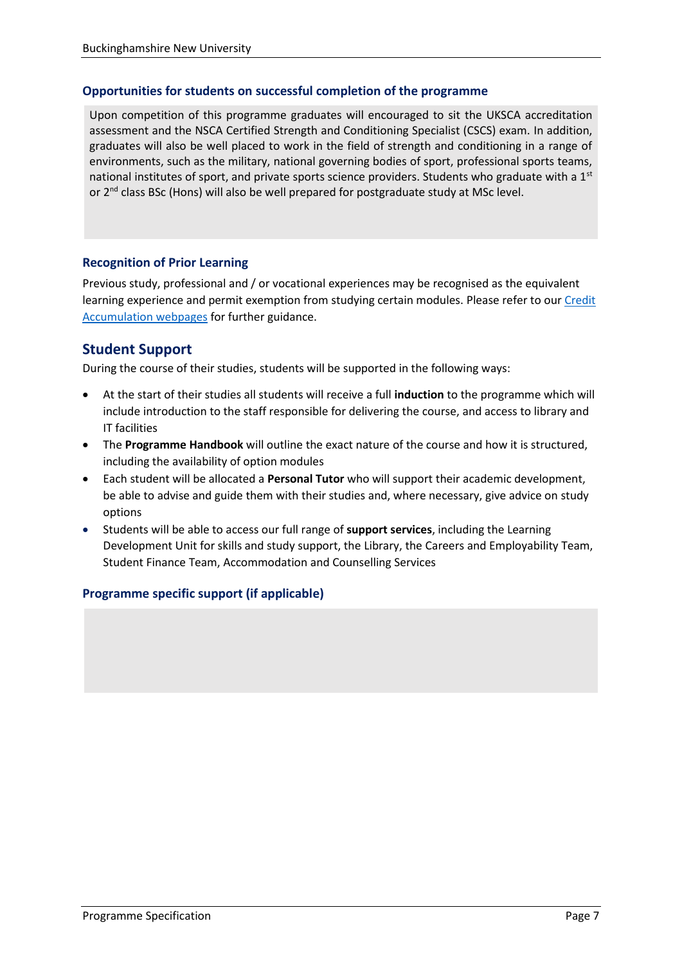### **Opportunities for students on successful completion of the programme**

Upon competition of this programme graduates will encouraged to sit the UKSCA accreditation assessment and the NSCA Certified Strength and Conditioning Specialist (CSCS) exam. In addition, graduates will also be well placed to work in the field of strength and conditioning in a range of environments, such as the military, national governing bodies of sport, professional sports teams, national institutes of sport, and private sports science providers. Students who graduate with a 1<sup>st</sup> or 2<sup>nd</sup> class BSc (Hons) will also be well prepared for postgraduate study at MSc level.

### **Recognition of Prior Learning**

Previous study, professional and / or vocational experiences may be recognised as the equivalent learning experience and permit exemption from studying certain modules. Please refer to our Credit [Accumulation webpages](https://bucks.ac.uk/students/academicadvice/managing-your-studies/credit-accumulation) for further guidance.

# **Student Support**

During the course of their studies, students will be supported in the following ways:

- At the start of their studies all students will receive a full **induction** to the programme which will include introduction to the staff responsible for delivering the course, and access to library and IT facilities
- The **Programme Handbook** will outline the exact nature of the course and how it is structured, including the availability of option modules
- Each student will be allocated a **Personal Tutor** who will support their academic development, be able to advise and guide them with their studies and, where necessary, give advice on study options
- Students will be able to access our full range of **support services**, including the Learning Development Unit for skills and study support, the Library, the Careers and Employability Team, Student Finance Team, Accommodation and Counselling Services

### **Programme specific support (if applicable)**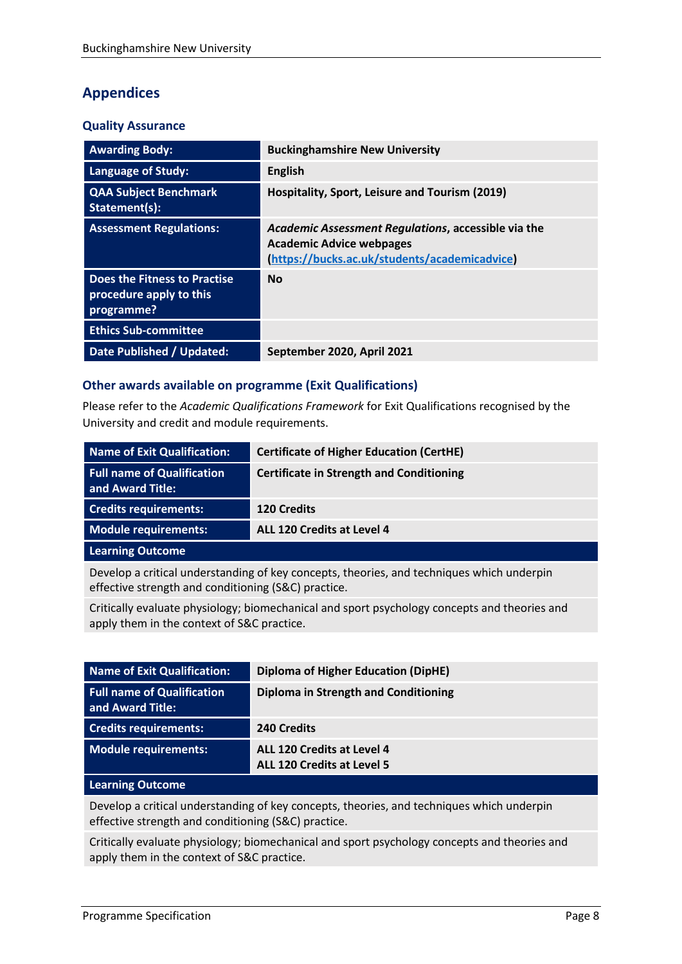# **Appendices**

### **Quality Assurance**

| <b>Awarding Body:</b>                                                 | <b>Buckinghamshire New University</b>                                                                                                   |
|-----------------------------------------------------------------------|-----------------------------------------------------------------------------------------------------------------------------------------|
| Language of Study:                                                    | <b>English</b>                                                                                                                          |
| <b>QAA Subject Benchmark</b><br>Statement(s):                         | Hospitality, Sport, Leisure and Tourism (2019)                                                                                          |
| <b>Assessment Regulations:</b>                                        | Academic Assessment Regulations, accessible via the<br><b>Academic Advice webpages</b><br>(https://bucks.ac.uk/students/academicadvice) |
| Does the Fitness to Practise<br>procedure apply to this<br>programme? | <b>No</b>                                                                                                                               |
| <b>Ethics Sub-committee</b>                                           |                                                                                                                                         |
| Date Published / Updated:                                             | September 2020, April 2021                                                                                                              |

### **Other awards available on programme (Exit Qualifications)**

Please refer to the *Academic Qualifications Framework* for Exit Qualifications recognised by the University and credit and module requirements.

| Name of Exit Qualification:                           | <b>Certificate of Higher Education (CertHE)</b> |
|-------------------------------------------------------|-------------------------------------------------|
| <b>Full name of Qualification</b><br>and Award Title: | <b>Certificate in Strength and Conditioning</b> |
| <b>Credits requirements:</b>                          | <b>120 Credits</b>                              |
| Module requirements:                                  | ALL 120 Credits at Level 4                      |
| Learning Outcome                                      |                                                 |

Develop a critical understanding of key concepts, theories, and techniques which underpin effective strength and conditioning (S&C) practice.

Critically evaluate physiology; biomechanical and sport psychology concepts and theories and apply them in the context of S&C practice.

| Name of Exit Qualification:                           | <b>Diploma of Higher Education (DipHE)</b>                      |
|-------------------------------------------------------|-----------------------------------------------------------------|
| <b>Full name of Qualification</b><br>and Award Title: | Diploma in Strength and Conditioning                            |
| <b>Credits requirements:</b>                          | 240 Credits                                                     |
| <b>Module requirements:</b>                           | ALL 120 Credits at Level 4<br><b>ALL 120 Credits at Level 5</b> |

#### **Learning Outcome**

Develop a critical understanding of key concepts, theories, and techniques which underpin effective strength and conditioning (S&C) practice.

Critically evaluate physiology; biomechanical and sport psychology concepts and theories and apply them in the context of S&C practice.